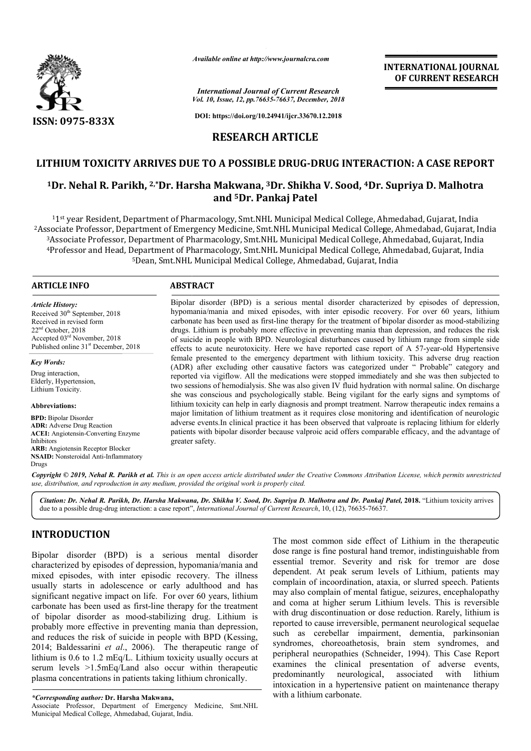

*Available online at http://www.journalcra.com*

*International Journal of Current Research Vol. 10, Issue, 12, pp.76635-76637, December, 2018*

**DOI: https://doi.org/10.24941/ijcr.33670.12.2018**

# **RESEARCH ARTICLE**

# **LITHIUM TOXICITY ARRIVES DUE TO A POSSIBLE DRUG-DRUG INTERACTION DRUG INTERACTION: A CASE REPORT**

## <sup>1</sup>Dr. Nehal R. Parikh, <sup>2,</sup>\*Dr. Harsha Makwana, <sup>3</sup>Dr. Shikha V. Sood, <sup>4</sup>Dr. Supriya D. Malhotra **and 5Dr. Pankaj Patel**

 $^{11\text{st}}$  year Resident, Department of Pharmacology, Smt.<br><sup>2</sup>Associate Professor, Department of Emergency Medicine,  $^3$ Associate Professor, Department of Pharmacology, Sm 4Professor and Head, Department of Pharmacology, Smt.NHL Municipal Medical College, Ahmedabad, Gujarat, <sup>5</sup>Dean, Smt.NHL Municipal Medical College, Ahmedabad, Gujarat, India 11st year Resident, Department of Pharmacology, Smt.NHL Municipal Medical College, Ahmedabad, Gujarat, India Associate Professor, Department of Emergency Medicine, Smt.NHL Municipal Medical College, Ahmedabad, Gujarat, India <sup>3</sup> Associate Professor, Department of Pharmacology, Smt.NHL Municipal Medical College, Ahmedabad, Gujarat, India lege, Ahmedabad, Gujarat, India<br>ıl College, Ahmedabad, Gujarat, In<br>ollege, Ahmedabad, Gujarat, India<br>ollege, Ahmedabad, Gujarat, India

#### **ARTICLE INFO ABSTRACT**

*Article History:* Received 30<sup>th</sup> September, 2018 Received in revised form 22nd October, 2018 Accepted 03rd November, 2018 Published online 31<sup>st</sup> December, 2018

*Key Words:*

Drug interaction, Elderly, Hypertension, Lithium Toxicity.

**Abbreviations:** 

**BPD:** Bipolar Disorder **ADR:** Adverse Drug Reaction **ACEI:** Angiotensin-Converting Enzyme Inhibitors **ARB:** Angiotensin Receptor Blocker **NSAID:** Nonsteroidal Anti-Inflammatory Drugs

Bipolar disorder (BPD) is a serious mental disorder characterized by episodes of depression, hypomania/mania and mixed episodes, with inter episodic recovery. For over 60 years, lithium carbonate has been used as fi first-line therapy for the treatment of bipolar disorder as mood drugs. Lithium is probably more effective in preventing mania than depression, and reduces the risk drugs. Lithium is probably more effective in preventing mania than depression, and reduces the risk of suicide in people with BPD. Neurological disturbances caused by lithium range from simple side effects to acute neurotoxicity. Here we have reported case report of A 57-year-old Hypertensive female presented to the emergency department with lithium toxicity. This adverse drug reaction (ADR) after excluding other causative factors was categorized under " Probable" category and reported via vigiflow. All the medications were stopped immediately and she was then subjected to two sessions of hemodialysis. She was also given IV fluid hydration with normal saline. On discharge she was conscious and psychologically stable. Being vigilant for the early signs and symptoms of (ADR) after excluding other causative factors was categorized under " Probable" category and reported via vigiflow. All the medications were stopped immediately and she was then subjected to two sessions of hemodialysis. S major limitation of lithium treatment as it requires close monitoring and identification of neurologic adverse events.In clinical practice it has been observed that valproate is replacing lithium for elderly major limitation of lithium treatment as it requires close monitoring and identification of neurologic adverse events.In clinical practice it has been observed that valproate is replacing lithium for elderly patients with greater saf safety. Bipolar disorder (BPD) is a serious mental disorder characterized by episodes of depression, hypomania/mania and mixed episodes, with inter episodic recovery. For over 60 years, lithium carbonate has been used as first-lin

Copyright © 2019, Nehal R. Parikh et al. This is an open access article distributed under the Creative Commons Attribution License, which permits unrestrictea *use, distribution, and reproduction in any medium, provided the original work is properly cited.*

*Citation: Dr. Nehal R. Parikh, Dr. Harsha Makwana, Dr. Shikha V. Sood, Dr. Supriya D. Malhotra and Dr. Pankaj Patel D. Pankaj Patel,* **2018.** "Lithium toxicity arrives due to a possible drug-drug interaction: a case report", *International Journal of Current Research*, 10, (12), 76635-76637.

# **INTRODUCTION**

Bipolar disorder (BPD) is a serious mental disorder characterized by episodes of depression, hypomania/mania and mixed episodes, with inter episodic recovery. The illness usually starts in adolescence or early adulthood and has significant negative impact on life. For over 60 years, lithium carbonate has been used as first-line therapy for the treatment carbonate has been used as first-line therapy for the treatment<br>of bipolar disorder as mood-stabilizing drug. Lithium is probably more effective in preventing mania than depression, and reduces the risk of suicide in people with BPD (Kessing, 2014; Baldessarini *et al*., 2006). The therapeutic range of lithium is 0.6 to 1.2 mEq/L. Lithium toxicity usually occurs at serum levels >1.5mEq/Land also occur within therapeutic plasma concentrations in patients taking lithium chronically.

The most common side effect of Lithium in the therapeutic<br>commania/mania and essential termor. Severity and risk for tremor are dose<br>wery. The illness dependent. At peak serum levels of Lithium, paitents may<br>dulthood and h dose range is fine postural hand tremor, indistinguishable from essential tremor. Severity and risk for tremor are dose dependent. At peak serum levels of Lithium, patients may complain of incoordination, ataxia, or slurred speech. Patients complain of incoordination, ataxia, or slurred speech. Patients<br>may also complain of mental fatigue, seizures, encephalopathy and coma at higher serum Lithium levels. This is reversible with drug discontinuation or dose reduction. Rarely, lithium is reported to cause irreversible, permanent neurological sequelae such as cerebellar impairment, dementia, parkinsonian syndromes, choreoathetosis, brain stem syndromes, and syndromes, choreoathetosis, brain stem syndromes, and peripheral neuropathies (Schneider, 1994). This Case Report examines the clinical presentation of adverse events, predominantly neurological, associated with lithium intoxication in a hypertensive patient on maintenance therapy with a lithium carbonate. mon side effect of Lithium in the therapeutic<br>ne postural hand tremor, indistinguishable from<br>r. Severity and risk for tremor are dose<br>peak serum levels of Lithium, patients may adverse associated with patient

**INTERNATIONAL JOURNAL OF CURRENT RESEARCH**

*<sup>\*</sup>Corresponding author:* **Dr. Harsha Makwana,** Associate Professor, Department of Emergency Medicine, Smt.NHL Municipal Medical College, Ahmedabad, Gujarat, India.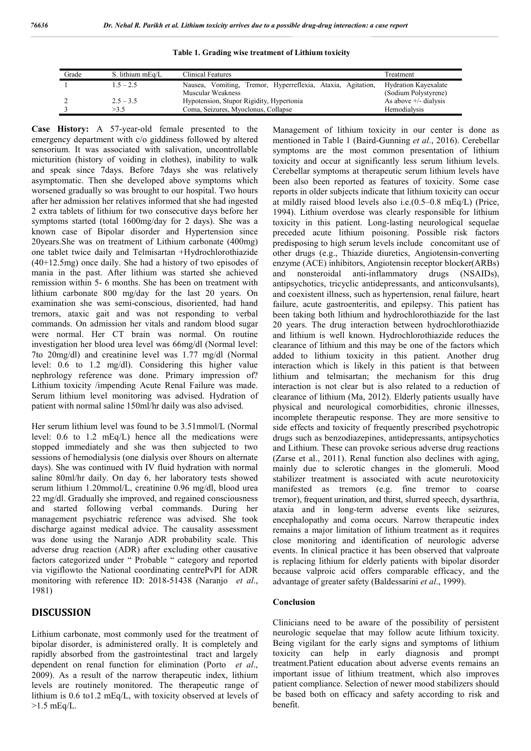**Table 1. Grading wise treatment of Lithium toxicity**

| Grade | S. lithium mEq/L | Clinical Features                                                                | Treatment                                           |
|-------|------------------|----------------------------------------------------------------------------------|-----------------------------------------------------|
|       | $1.5 - 2.5$      | Nausea, Vomiting, Tremor, Hyperreflexia, Ataxia, Agitation,<br>Muscular Weakness | <b>Hydration Kayexalate</b><br>(Sodium Polystyrene) |
|       | $2.5 - 3.5$      | Hypotension, Stupor Rigidity, Hypertonia                                         | As above $+/-$ dialysis                             |
|       | >3.5             | Coma, Seizures, Myoclonus, Collapse                                              | Hemodialysis                                        |

**Case History:** A 57-year-old female presented to the emergency department with c/o giddiness followed by altered sensorium. It was associated with salivation, uncontrollable micturition (history of voiding in clothes), inability to walk and speak since 7days. Before 7days she was relatively asymptomatic. Then she developed above symptoms which worsened gradually so was brought to our hospital. Two hours after her admission her relatives informed that she had ingested 2 extra tablets of lithium for two consecutive days before her symptoms started (total 1600mg/day for 2 days). She was a known case of Bipolar disorder and Hypertension since 20years.She was on treatment of Lithium carbonate (400mg) one tablet twice daily and Telmisartan +Hydrochlorothiazide (40+12.5mg) once daily. She had a history of two episodes of mania in the past. After lithium was started she achieved remission within 5- 6 months. She has been on treatment with lithium carbonate 800 mg/day for the last 20 years. On examination she was semi-conscious, disoriented, had hand tremors, ataxic gait and was not responding to verbal commands. On admission her vitals and random blood sugar were normal. Her CT brain was normal. On routine investigation her blood urea level was 66mg/dl (Normal level: 7to 20mg/dl) and creatinine level was 1.77 mg/dl (Normal level: 0.6 to 1.2 mg/dl). Considering this higher value nephrology reference was done. Primary impression of? Lithium toxicity /impending Acute Renal Failure was made. Serum lithium level monitoring was advised. Hydration of patient with normal saline 150ml/hr daily was also advised.

Her serum lithium level was found to be 3.51mmol/L (Normal level: 0.6 to 1.2 mEq/L) hence all the medications were stopped immediately and she was then subjected to two sessions of hemodialysis (one dialysis over 8hours on alternate days). She was continued with IV fluid hydration with normal saline 80ml/hr daily. On day 6, her laboratory tests showed serum lithium 1.20mmol/L, creatinine 0.96 mg/dl, blood urea 22 mg/dl. Gradually she improved, and regained consciousness and started following verbal commands. During her management psychiatric reference was advised. She took discharge against medical advice. The causality assessment was done using the Naranjo ADR probability scale. This adverse drug reaction (ADR) after excluding other causative factors categorized under " Probable " category and reported via vigiflowto the National coordinating centrePvPI for ADR monitoring with reference ID: 2018-51438 (Naranjo *et al*., 1981)

## **DISCUSSION**

Lithium carbonate, most commonly used for the treatment of bipolar disorder, is administered orally. It is completely and rapidly absorbed from the gastrointestinal tract and largely dependent on renal function for elimination (Porto *et al*., 2009). As a result of the narrow therapeutic index, lithium levels are routinely monitored. The therapeutic range of lithium is 0.6 to1.2 mEq/L, with toxicity observed at levels of  $>1.5$  mEq/L.

Management of lithium toxicity in our center is done as mentioned in Table 1 (Baird-Gunning *et al*., 2016). Cerebellar symptoms are the most common presentation of lithium toxicity and occur at significantly less serum lithium levels. Cerebellar symptoms at therapeutic serum lithium levels have been also been reported as features of toxicity. Some case reports in older subjects indicate that lithium toxicity can occur at mildly raised blood levels also i.e.(0.5–0.8 mEq/L) (Price, 1994). Lithium overdose was clearly responsible for lithium toxicity in this patient. Long-lasting neurological sequelae preceded acute lithium poisoning. Possible risk factors predisposing to high serum levels include concomitant use of other drugs (e.g., Thiazide diuretics, Angiotensin-converting enzyme (ACE) inhibitors, Angiotensin receptor blocker(ARBs) and nonsteroidal anti-inflammatory drugs (NSAIDs), antipsychotics, tricyclic antidepressants, and anticonvulsants), and coexistent illness, such as hypertension, renal failure, heart failure, acute gastroenteritis, and epilepsy. This patient has been taking both lithium and hydrochlorothiazide for the last 20 years. The drug interaction between hydrochlorothiazide and lithium is well known. Hydrochlorothiazide reduces the clearance of lithium and this may be one of the factors which added to lithium toxicity in this patient. Another drug interaction which is likely in this patient is that between lithium and telmisartan; the mechanism for this drug interaction is not clear but is also related to a reduction of clearance of lithium (Ma, 2012). Elderly patients usually have physical and neurological comorbidities, chronic illnesses, incomplete therapeutic response. They are more sensitive to side effects and toxicity of frequently prescribed psychotropic drugs such as benzodiazepines, antidepressants, antipsychotics and Lithium. These can provoke serious adverse drug reactions (Zarse et al., 2011). Renal function also declines with aging, mainly due to sclerotic changes in the glomeruli. Mood stabilizer treatment is associated with acute neurotoxicity manifested as tremors (e.g. fine tremor to coarse tremor), frequent urination, and thirst, slurred speech, dysarthria, ataxia and in long-term adverse events like seizures, encephalopathy and coma occurs. Narrow therapeutic index remains a major limitation of lithium treatment as it requires close monitoring and identification of neurologic adverse events. In clinical practice it has been observed that valproate is replacing lithium for elderly patients with bipolar disorder because valproic acid offers comparable efficacy, and the advantage of greater safety (Baldessarini *et al*., 1999).

#### **Conclusion**

Clinicians need to be aware of the possibility of persistent neurologic sequelae that may follow acute lithium toxicity. Being vigilant for the early signs and symptoms of lithium toxicity can help in early diagnosis and prompt treatment.Patient education about adverse events remains an important issue of lithium treatment, which also improves patient compliance. Selection of newer mood stabilizers should be based both on efficacy and safety according to risk and benefit.